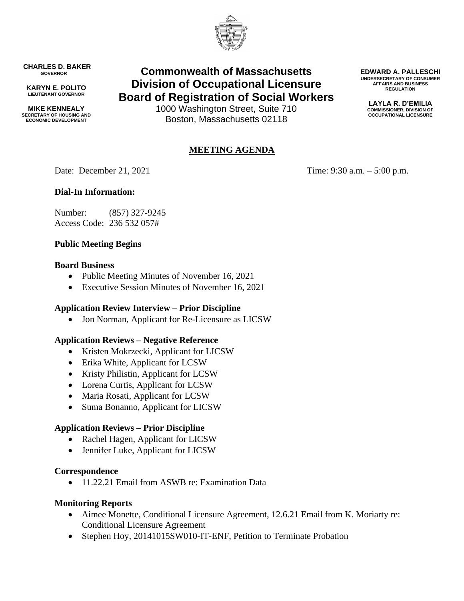

**CHARLES D. BAKER GOVERNOR**

**KARYN E. POLITO LIEUTENANT GOVERNOR**

**MIKE KENNEALY SECRETARY OF HOUSING AND ECONOMIC DEVELOPMENT**

# **Commonwealth of Massachusetts Division of Occupational Licensure Board of Registration of Social Workers**

1000 Washington Street, Suite 710 Boston, Massachusetts 02118

## **MEETING AGENDA**

Date: December 21, 2021 Time: 9:30 a.m. – 5:00 p.m.

## **Dial-In Information:**

Number: (857) 327-9245 Access Code: 236 532 057#

## **Public Meeting Begins**

#### **Board Business**

- Public Meeting Minutes of November 16, 2021
- Executive Session Minutes of November 16, 2021

## **Application Review Interview – Prior Discipline**

• Jon Norman, Applicant for Re-Licensure as LICSW

#### **Application Reviews – Negative Reference**

- Kristen Mokrzecki, Applicant for LICSW
- Erika White, Applicant for LCSW
- Kristy Philistin, Applicant for LCSW
- Lorena Curtis, Applicant for LCSW
- Maria Rosati, Applicant for LCSW
- Suma Bonanno, Applicant for LICSW

## **Application Reviews – Prior Discipline**

- Rachel Hagen, Applicant for LICSW
- Jennifer Luke, Applicant for LICSW

#### **Correspondence**

• 11.22.21 Email from ASWB re: Examination Data

#### **Monitoring Reports**

- Aimee Monette, Conditional Licensure Agreement, 12.6.21 Email from K. Moriarty re: Conditional Licensure Agreement
- Stephen Hoy, 20141015SW010-IT-ENF, Petition to Terminate Probation

**EDWARD A. PALLESCHI UNDERSECRETARY OF CONSUMER AFFAIRS AND BUSINESS REGULATION**

> **LAYLA R. D'EMILIA COMMISSIONER, DIVISION OF OCCUPATIONAL LICENSURE**